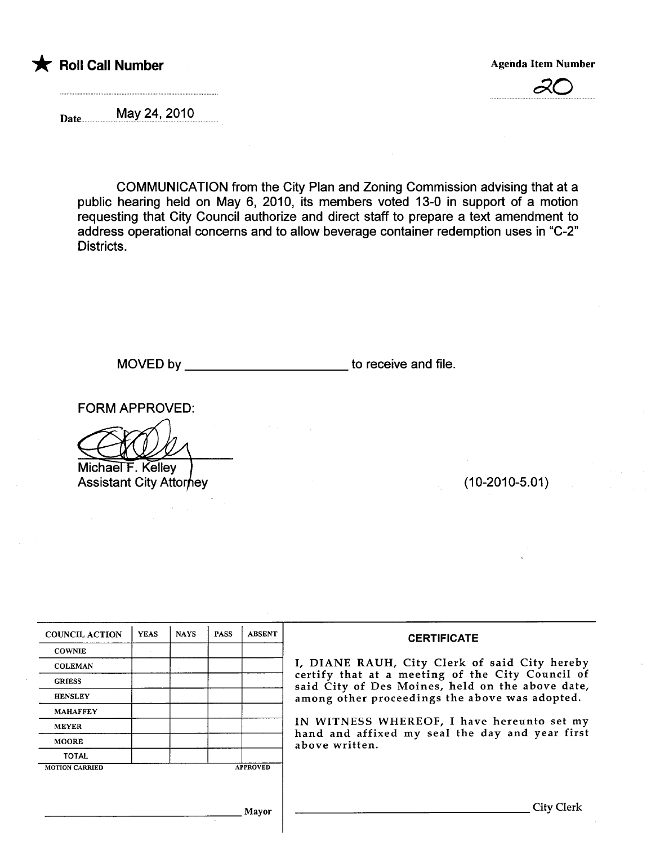



Date.. ..................~~.Y...?~'..?g.~.g.............

COMMUNICATION from the City Plan and Zoning Commission advising that at a public hearing held on May 6, 2010, its members voted 13-0 in support of a motion requesting that City Council authorize and direct staff to prepare a text amendment to address operational concerns and to allow beverage container redemption uses in "C-2" Districts.

MOVED by \_\_\_\_\_\_\_\_\_\_\_\_\_\_\_\_\_\_\_\_\_\_\_\_\_\_\_\_\_\_\_to receive and file.

FORM APPROVED:

Michael F. Kelley **Assistant City Attorney** 

 $(10-2010-5.01)$ 

| <b>COUNCIL ACTION</b> | <b>YEAS</b> | <b>NAYS</b> | <b>PASS</b> | <b>ABSENT</b>   | <b>CERTIFICATE</b>                                                                                                                                                                                                                                                                                                         |  |  |  |  |
|-----------------------|-------------|-------------|-------------|-----------------|----------------------------------------------------------------------------------------------------------------------------------------------------------------------------------------------------------------------------------------------------------------------------------------------------------------------------|--|--|--|--|
| <b>COWNIE</b>         |             |             |             |                 |                                                                                                                                                                                                                                                                                                                            |  |  |  |  |
| <b>COLEMAN</b>        |             |             |             |                 | I, DIANE RAUH, City Clerk of said City hereby<br>certify that at a meeting of the City Council of<br>said City of Des Moines, held on the above date,<br>among other proceedings the above was adopted.<br>IN WITNESS WHEREOF, I have hereunto set my<br>hand and affixed my seal the day and year first<br>above written. |  |  |  |  |
| <b>GRIESS</b>         |             |             |             |                 |                                                                                                                                                                                                                                                                                                                            |  |  |  |  |
| <b>HENSLEY</b>        |             |             |             |                 |                                                                                                                                                                                                                                                                                                                            |  |  |  |  |
| <b>MAHAFFEY</b>       |             |             |             |                 |                                                                                                                                                                                                                                                                                                                            |  |  |  |  |
| <b>MEYER</b>          |             |             |             |                 |                                                                                                                                                                                                                                                                                                                            |  |  |  |  |
| <b>MOORE</b>          |             |             |             |                 |                                                                                                                                                                                                                                                                                                                            |  |  |  |  |
| <b>TOTAL</b>          |             |             |             |                 |                                                                                                                                                                                                                                                                                                                            |  |  |  |  |
| <b>MOTION CARRIED</b> |             |             |             | <b>APPROVED</b> |                                                                                                                                                                                                                                                                                                                            |  |  |  |  |
|                       |             |             |             |                 |                                                                                                                                                                                                                                                                                                                            |  |  |  |  |
|                       |             |             |             | Mayor           | City                                                                                                                                                                                                                                                                                                                       |  |  |  |  |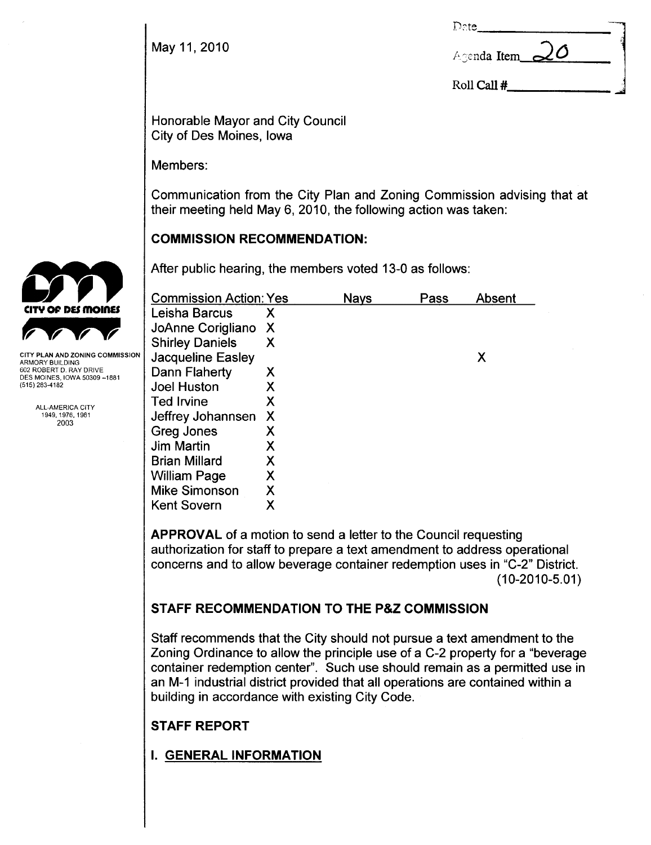May 11, 2010

| Date           |  |
|----------------|--|
| Agenda Item 20 |  |
| Roll Call #    |  |

Honorable Mayor and City Council City of Des Moines, Iowa

Members:

Communication from the City Plan and Zoning Commission advising that at their meeting held May 6, 2010, the following action was taken:

# COMMISSION RECOMMENDATION:

After public hearing, the members voted 13-0 as follows:

| <b>Commission Action: Yes</b> |   | Nays | Pass | Absent |
|-------------------------------|---|------|------|--------|
| Leisha Barcus                 | х |      |      |        |
| JoAnne Corigliano             | Х |      |      |        |
| <b>Shirley Daniels</b>        | Х |      |      |        |
| Jacqueline Easley             |   |      |      | Х      |
| Dann Flaherty                 | Х |      |      |        |
| <b>Joel Huston</b>            |   |      |      |        |
| <b>Ted Irvine</b>             | Χ |      |      |        |
| Jeffrey Johannsen             | X |      |      |        |
| Greg Jones                    | Х |      |      |        |
| <b>Jim Martin</b>             | X |      |      |        |
| <b>Brian Millard</b>          | Х |      |      |        |
| <b>William Page</b>           | Χ |      |      |        |
| <b>Mike Simonson</b>          | Χ |      |      |        |
| <b>Kent Sovern</b>            | Х |      |      |        |

APPROVAL of a motion to send a letter to the Council requesting authorization for staff to prepare a text amendment to address operational concerns and to allow beverage container redemption uses in "C-2" District.  $(10-2010-5.01)$ 

# STAFF RECOMMENDATION TO THE P&Z COMMISSION

Staff recommends that the City should not pursue a text amendment to the Zoning Ordinance to allow the principle use of a C-2 property for a "beverage container redemption center". Such use should remain as a permitted use in an M-1 industrial district provided that all operations are contained within a building in accordance with existing City Code.

# STAFF REPORT

I. GENERAL INFORMATION



Y PLAN AND ZONING COMMISSION ARMORY BUILDING 602 ROBERT D. RAY DRIVE DES MOINES, IOWA 50309-1881 (515) 283-4182

> ALL-AMERICA CITY 1949,1976,1981 2003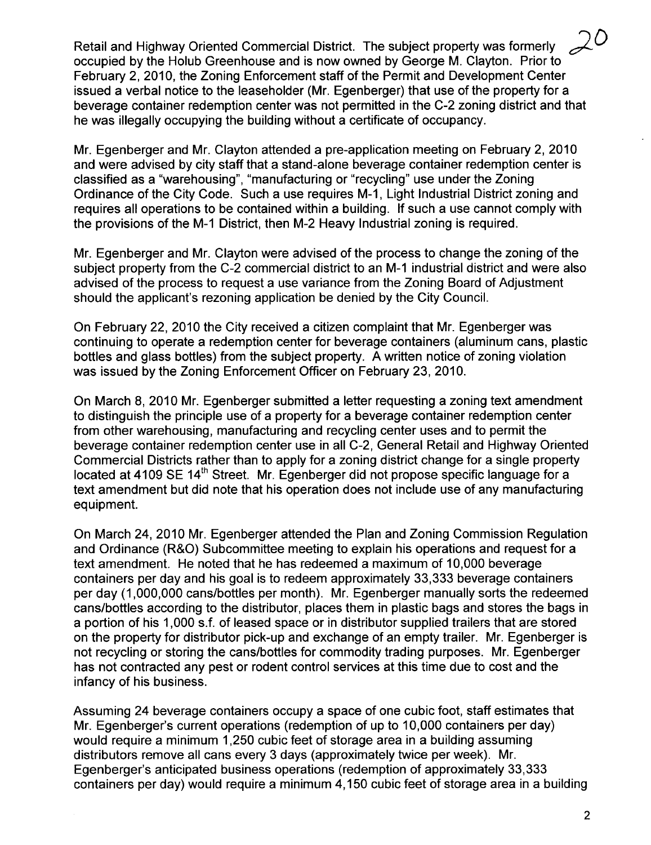Retail and Highway Oriented Commercial District. The subject property was formerly occupied by the Holub Greenhouse and is now owned by George M. Clayton. Prior to February 2, 2010, the Zoning Enforcement staff of the Permit and Development Center issued a verbal notice to the leaseholder (Mr. Egenberger) that use of the property for a beverage container redemption center was not permitted in the C-2 zoning district and that he was illegally occupying the building without a certificate of occupancy.

Mr. Egenberger and Mr. Clayton attended a pre-application meeting on February 2, 2010 and were advised by city staff that a stand-alone beverage container redemption center is classified as a "warehousing", "manufacturing or "recycling" use under the Zoning Ordinance of the City Code. Such a use requires M-1, Light Industrial District zoning and requires all operations to be contained within a building. If such a use cannot comply with the provisions of the M-1 District, then M-2 Heavy Industrial zoning is required.

Mr. Egenberger and Mr. Clayton were advised of the process to change the zoning of the subject property from the C-2 commercial district to an M-1 industrial district and were also advised of the process to request a use variance from the Zoning Board of Adjustment should the applicant's rezoning application be denied by the City Council.

On February 22, 2010 the City received a citizen complaint that Mr. Egenberger was continuing to operate a redemption center for beverage containers (aluminum cans, plastic bottles and glass bottles) from the subject property. A written notice of zoning violation was issued by the Zoning Enforcement Officer on February 23, 2010.

On March 8, 2010 Mr. Egenberger submitted a letter requesting a zoning text amendment to distinguish the principle use of a property for a beverage container redemption center from other warehousing, manufacturing and recycling center uses and to permit the beverage container redemption center use in all C-2, General Retail and Highway Oriented Commercial Districts rather than to apply for a zoning district change for a single propert located at 4109 SE 14<sup>th</sup> Street. Mr. Egenberger did not propose specific language for a text amendment but did note that his operation does not include use of any manufacturing equipment.

On March 24,2010 Mr. Egenberger attended the Plan and Zoning Commission Regulation and Ordinance (R&O) Subcommittee meeting to explain his operations and request for a text amendment. He noted that he has redeemed a maximum of 10,000 beverage containers per day and his goal is to redeem approximately 33,333 beverage containers per day (1,000,000 cans/bottles per month). Mr. Egenberger manually sorts the redeemed cans/bottles according to the distributor, places them in plastic bags and stores the bags in a portion of his 1,000 s.f. of leased space or in distributor supplied trailers that are stored on the property for distributor pick-up and exchange of an empty trailer. Mr. Egenberger is not recycling or storing the cans/bottles for commodity trading purposes. Mr. Egenberger has not contracted any pest or rodent control services at this time due to cost and the infancy of his business.

Assuming 24 beverage containers occupy a space of one cubic foot, staff estimates that Mr. Egenberger's current operations (redemption of up to 10,000 containers per day) would require a minimum 1,250 cubic feet of storage area in a building assuming distributors remove all cans every 3 days (approximately twice per week). Mr. Egenberger's anticipated business operations (redemption of approximately 33,333 containers per day) would require a minimum 4,150 cubic feet of storage area in a building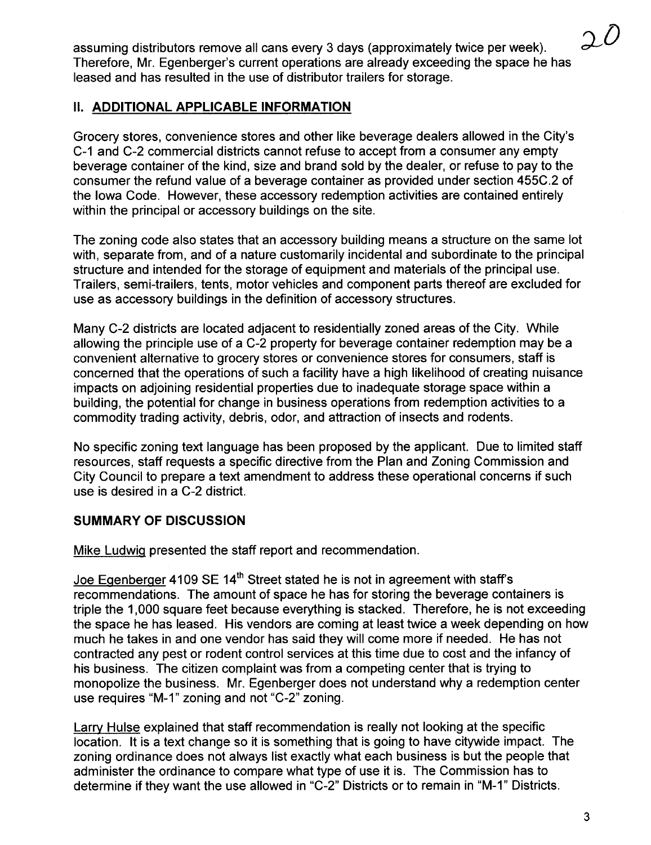assuming distributors remove all cans every 3 days (approximately twice per week). Therefore, Mr. Egenberger's current operations are already exceeding the space he has leased and has resulted in the use of distributor trailers for storage.

## II. ADDITIONAL APPLICABLE INFORMATION

Grocery stores, convenience stores and other like beverage dealers allowed in the City's C-1 and C-2 commercial districts cannot refuse to accept from a consumer any empty beverage container of the kind, size and brand sold by the dealer, or refuse to pay to the consumer the refund value of a beverage container as provided under section 455C.2 of the Iowa Code. However, these accessory redemption activities are contained entirely within the principal or accessory buildings on the site.

The zoning code also states that an accessory building means a structure on the same lot with, separate from, and of a nature customarily incidental and subordinate to the principal structure and intended for the storage of equipment and materials of the principal use. Trailers, semi-trailers, tents, motor vehicles and component parts thereof are excluded for use as accessory buildings in the definition of accessory structures.

Many C-2 districts are located adjacent to residentially zoned areas of the City. While allowing the principle use of a C-2 property for beverage container redemption may be a convenient alternative to grocery stores or convenience stores for consumers, staff is concerned that the operations of such a facility have a high likelihood of creating nuisance impacts on adjoining residential properties due to inadequate storage space within a building, the potential for change in business operations from redemption activities to a commodity trading activity, debris, odor, and attraction of insects and rodents.

No specific zoning text language has been proposed by the applicant. Due to limited staff resources, staff requests a specific directive from the Plan and Zoning Commission and City Council to prepare a text amendment to address these operational concerns if such use is desired in a C-2 district.

## SUMMARY OF DISCUSSION

Mike LudwiQ presented the staff report and recommendation.

Joe Egenberger 4109 SE 14<sup>th</sup> Street stated he is not in agreement with staff's recommendations. The amount of space he has for storing the beverage containers is triple the 1,000 square feet because everyhing is stacked. Therefore, he is not exceeding the space he has leased. His vendors are coming at least twice a week depending on how much he takes in and one vendor has said they will come more if needed. He has not contracted any pest or rodent control services at this time due to cost and the infancy of his business. The citizen complaint was from a competing center that is trying to monopolize the business. Mr. Egenberger does not understand why a redemption center use requires "M-1" zoning and not "C-2" zoning.

Larry Hulse explained that staff recommendation is really not looking at the specific location. It is a text change so it is something that is going to have citywide impact. The zoning ordinance does not always list exactly what each business is but the people that administer the ordinance to compare what type of use it is. The Commission has to determine if they want the use allowed in "C-2" Districts or to remain in "M-1" Districts.

 $20$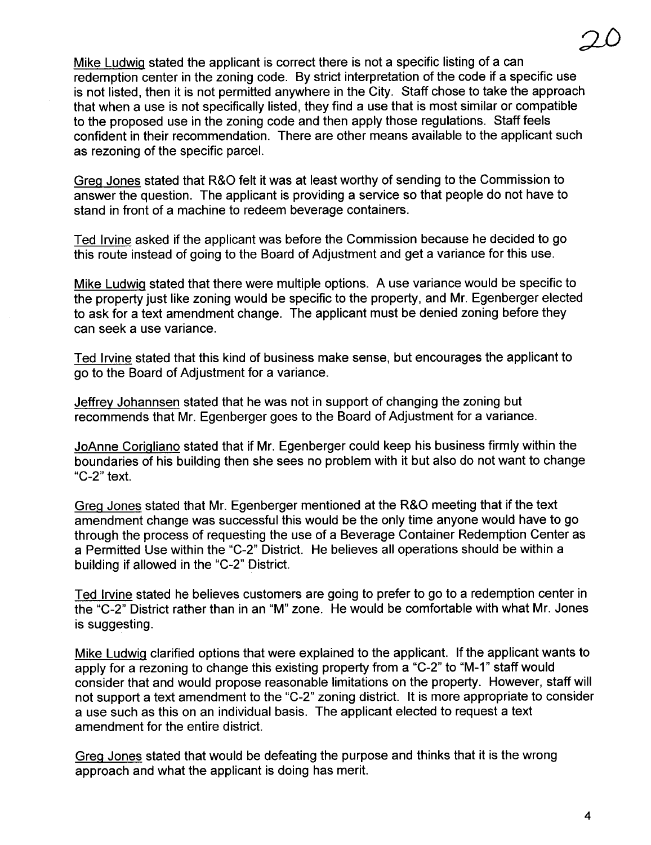20 Mike Ludwig stated the applicant is correct there is not a specific listing of a can redemption center in the zoning code. By strict interpretation of the code if a specific use is not listed, then it is not permitted anywhere in the City. Staff chose to take the approach

that when a use is not specifically listed, they find a use that is most similar or compatible to the proposed use in the zoning code and then apply those regulations. Staff feels confident in their recommendation. There are other means available to the applicant such as rezoning of the specific parceL.

GreQ Jones stated that R&O felt it was at least worthy of sending to the Commission to answer the question. The applicant is providing a service so that people do not have to stand in front of a machine to redeem beverage containers.

Ted Irvine asked if the applicant was before the Commission because he decided to go this route instead of going to the Board of Adjustment and get a variance for this use.

Mike Ludwig stated that there were multiple options. A use variance would be specific to the property just like zoning would be specific to the property, and Mr. Egenberger elected to ask for a text amendment change. The applicant must be denied zoning before they can seek a use variance.

Ted Irvine stated that this kind of business make sense, but encourages the applicant to go to the Board of Adjustment for a variance.

Jeffrev Johannsen stated that he was not in support of changing the zoning but recommends that Mr. Egenberger goes to the Board of Adjustment for a variance.

JoAnne CoriQliano stated that if Mr. Egenberger could keep his business firmly within the boundaries of his building then she sees no problem with it but also do not want to change "C-2" text.

GreQ Jones stated that Mr. Egenberger mentioned at the R&O meeting that if the text amendment change was successful this would be the only time anyone would have to go through the process of requesting the use of a Beverage Container Redemption Center as a Permitted Use within the "C-2" District. He believes all operations should be within a building if allowed in the "C-2" District.

Ted Irvine stated he believes customers are going to prefer to go to a redemption center in the "C-2" District rather than in an "M" zone. He would be comfortable with what Mr. Jones is suggesting.

Mike Ludwig clarified options that were explained to the applicant. If the applicant wants to apply for a rezoning to change this existing property from a "C-2" to "M-1" staff would consider that and would propose reasonable limitations on the property. However, staff will not support a text amendment to the "C-2" zoning district. It is more appropriate to consider a use such as this on an individual basis. The applicant elected to request a text amendment for the entire district.

Greg Jones stated that would be defeating the purpose and thinks that it is the wrong approach and what the applicant is doing has merit.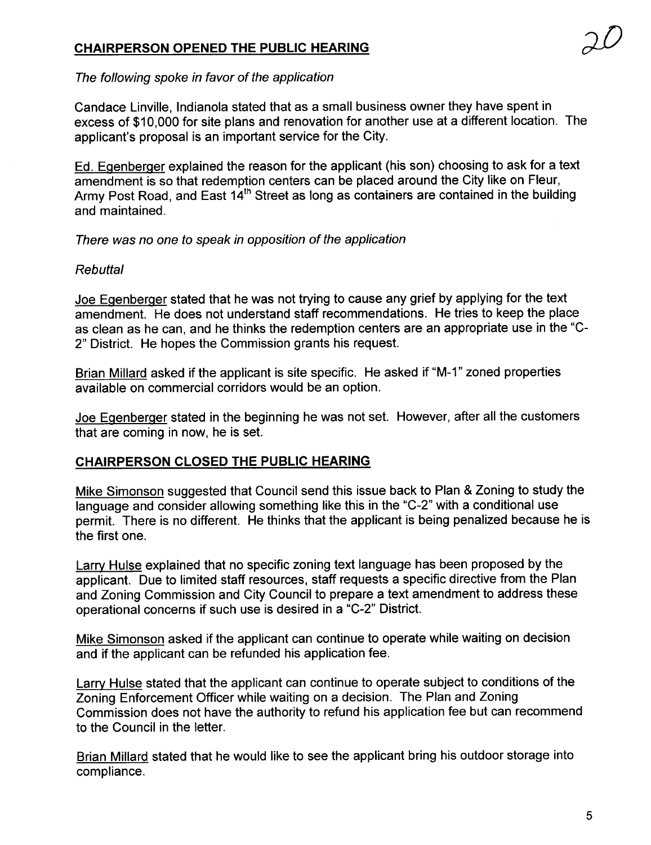## CHAIRPERSON OPENED THE PUBLIC HEARING

### The following spoke in favor of the application

Candace Linville, Indianola stated that as a small business owner they have spent in excess of \$10,000 for site plans and renovation for another use at a different location. The applicant's proposal is an important service for the City.

Ed. Egenberger explained the reason for the applicant (his son) choosing to ask for a text amendment is so that redemption centers can be placed around the City like on Fleur, Army Post Road, and East 14th Street as long as containers are contained in the building and maintained.

There was no one to speak in opposition of the application

### Rebuttal

Joe Egenberger stated that he was not trying to cause any grief by applying for the text amendment. He does not understand staff recommendations. He tries to keep the place as clean as he can, and he thinks the redemption centers are an appropriate use in the "C-2" District. He hopes the Commission grants his request.

Brian Millard asked if the applicant is site specific. He asked if "M-1" zoned properties available on commercial corridors would be an option.

Joe EQenberQer stated in the beginning he was not set. However, after all the customers that are coming in now, he is set.

### CHAIRPERSON CLOSED THE PUBLIC HEARING

Mike Simonson suggested that Council send this issue back to Plan & Zoning to study the language and consider allowing something like this in the "C-2" with a conditional use permit. There is no different. He thinks that the applicant is being penalized because he is the first one.

Larry Hulse explained that no specific zoning text language has been proposed by the applicant. Due to limited staff resources, staff requests a specific directive from the Plan and Zoning Commission and City Council to prepare a text amendment to address these operational concerns if such use is desired in a "C-2" District.

Mike Simonson asked if the applicant can continue to operate while waiting on decision and if the applicant can be refunded his application fee.

Larry Hulse stated that the applicant can continue to operate subject to conditions of the Zoning Enforcement Officer while waiting on a decision. The Plan and Zoning Commission does not have the authority to refund his application fee but can recommend to the Council in the letter.

Brian Millard stated that he would like to see the applicant bring his outdoor storage into compliance.